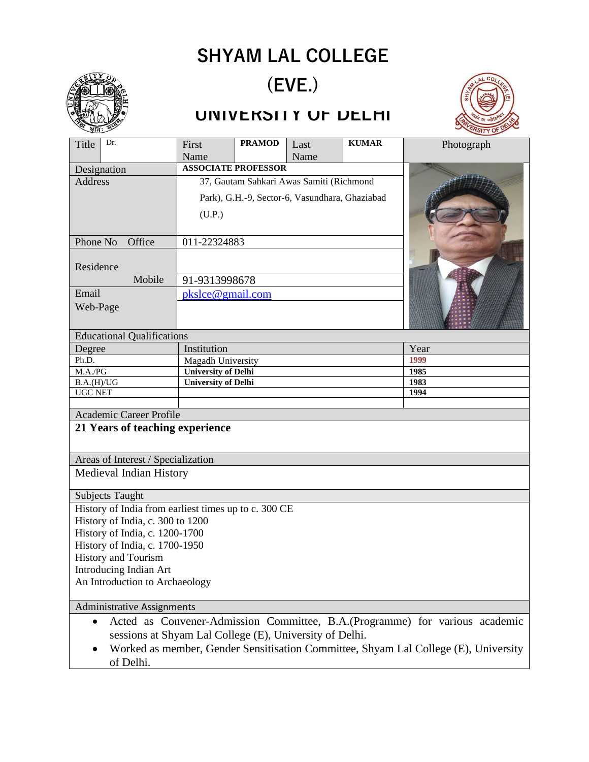## **SHYAM LAL COLLEGE**



of Delhi.

# **(EVE.)**

### **UNIVERSITY OF DELHI**



| Title                                                                                                                                                | Dr.                                   | First                                          | <b>PRAMOD</b> | Last | <b>KUMAR</b> | Photograph |
|------------------------------------------------------------------------------------------------------------------------------------------------------|---------------------------------------|------------------------------------------------|---------------|------|--------------|------------|
|                                                                                                                                                      |                                       | Name                                           |               | Name |              |            |
| Designation                                                                                                                                          |                                       | <b>ASSOCIATE PROFESSOR</b>                     |               |      |              |            |
| Address                                                                                                                                              |                                       | 37, Gautam Sahkari Awas Samiti (Richmond       |               |      |              |            |
|                                                                                                                                                      |                                       | Park), G.H.-9, Sector-6, Vasundhara, Ghaziabad |               |      |              |            |
|                                                                                                                                                      |                                       | (U.P.)                                         |               |      |              |            |
| Phone No<br>Office                                                                                                                                   |                                       | 011-22324883                                   |               |      |              |            |
| Residence<br>Mobile                                                                                                                                  |                                       |                                                |               |      |              |            |
|                                                                                                                                                      |                                       | 91-9313998678                                  |               |      |              |            |
| Email                                                                                                                                                |                                       | pkslce@gmail.com                               |               |      |              |            |
| Web-Page                                                                                                                                             |                                       |                                                |               |      |              |            |
| <b>Educational Qualifications</b>                                                                                                                    |                                       |                                                |               |      |              |            |
| Degree                                                                                                                                               |                                       | Institution                                    |               |      |              | Year       |
| Ph.D.                                                                                                                                                |                                       | Magadh University                              |               |      |              | 1999       |
|                                                                                                                                                      | <b>University of Delhi</b><br>M.A./PG |                                                |               |      |              | 1985       |
| B.A.(H)/UG                                                                                                                                           |                                       | <b>University of Delhi</b>                     |               |      |              | 1983       |
| <b>UGC NET</b>                                                                                                                                       |                                       |                                                |               |      |              | 1994       |
| Academic Career Profile                                                                                                                              |                                       |                                                |               |      |              |            |
| 21 Years of teaching experience                                                                                                                      |                                       |                                                |               |      |              |            |
| Areas of Interest / Specialization                                                                                                                   |                                       |                                                |               |      |              |            |
| Medieval Indian History                                                                                                                              |                                       |                                                |               |      |              |            |
| <b>Subjects Taught</b>                                                                                                                               |                                       |                                                |               |      |              |            |
| History of India from earliest times up to c. 300 CE                                                                                                 |                                       |                                                |               |      |              |            |
| History of India, c. 300 to 1200                                                                                                                     |                                       |                                                |               |      |              |            |
| History of India, c. 1200-1700                                                                                                                       |                                       |                                                |               |      |              |            |
| History of India, c. 1700-1950                                                                                                                       |                                       |                                                |               |      |              |            |
| History and Tourism                                                                                                                                  |                                       |                                                |               |      |              |            |
| Introducing Indian Art                                                                                                                               |                                       |                                                |               |      |              |            |
| An Introduction to Archaeology                                                                                                                       |                                       |                                                |               |      |              |            |
| Administrative Assignments                                                                                                                           |                                       |                                                |               |      |              |            |
| Acted as Convener-Admission Committee, B.A. (Programme) for various academic<br>$\bullet$<br>sessions at Shyam Lal College (E), University of Delhi. |                                       |                                                |               |      |              |            |
| Worked as member, Gender Sensitisation Committee, Shyam Lal College (E), University                                                                  |                                       |                                                |               |      |              |            |
|                                                                                                                                                      |                                       |                                                |               |      |              |            |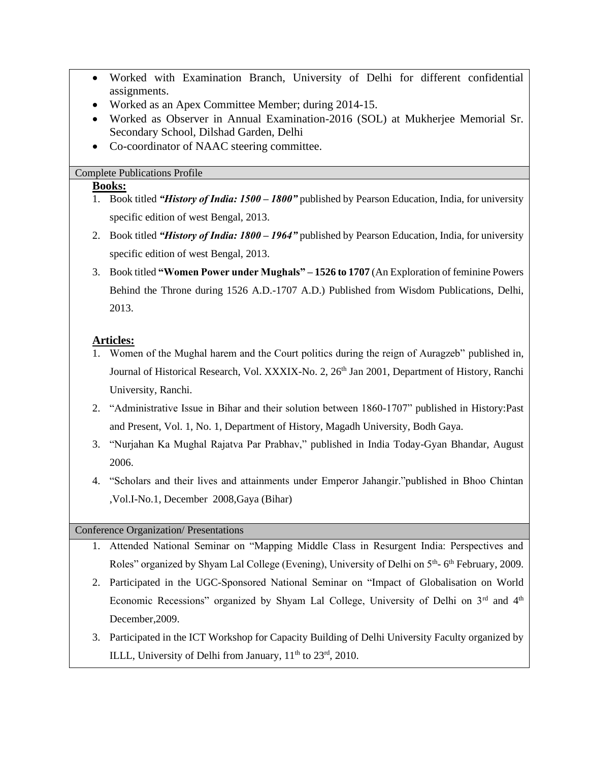- Worked with Examination Branch, University of Delhi for different confidential assignments.
- Worked as an Apex Committee Member; during 2014-15.
- Worked as Observer in Annual Examination-2016 (SOL) at Mukherjee Memorial Sr. Secondary School, Dilshad Garden, Delhi
- Co-coordinator of NAAC steering committee.

#### Complete Publications Profile

#### **Books:**

- 1. Book titled *"History of India: 1500 – 1800"* published by Pearson Education, India, for university specific edition of west Bengal, 2013.
- 2. Book titled *"History of India: 1800 – 1964"* published by Pearson Education, India, for university specific edition of west Bengal, 2013.
- 3. Book titled **"Women Power under Mughals" – 1526 to 1707** (An Exploration of feminine Powers Behind the Throne during 1526 A.D.-1707 A.D.) Published from Wisdom Publications, Delhi, 2013.

#### **Articles:**

- 1. Women of the Mughal harem and the Court politics during the reign of Auragzeb" published in, Journal of Historical Research, Vol. XXXIX-No. 2, 26<sup>th</sup> Jan 2001, Department of History, Ranchi University, Ranchi.
- 2. "Administrative Issue in Bihar and their solution between 1860-1707" published in History:Past and Present, Vol. 1, No. 1, Department of History, Magadh University, Bodh Gaya.
- 3. "Nurjahan Ka Mughal Rajatva Par Prabhav," published in India Today-Gyan Bhandar, August 2006.
- 4. "Scholars and their lives and attainments under Emperor Jahangir."published in Bhoo Chintan ,Vol.I-No.1, December 2008,Gaya (Bihar)

#### Conference Organization/ Presentations

- 1. Attended National Seminar on "Mapping Middle Class in Resurgent India: Perspectives and Roles" organized by Shyam Lal College (Evening), University of Delhi on 5<sup>th</sup>-6<sup>th</sup> February, 2009.
- 2. Participated in the UGC-Sponsored National Seminar on "Impact of Globalisation on World Economic Recessions" organized by Shyam Lal College, University of Delhi on 3rd and 4th December,2009.
- 3. Participated in the ICT Workshop for Capacity Building of Delhi University Faculty organized by ILLL, University of Delhi from January,  $11<sup>th</sup>$  to  $23<sup>rd</sup>$ , 2010.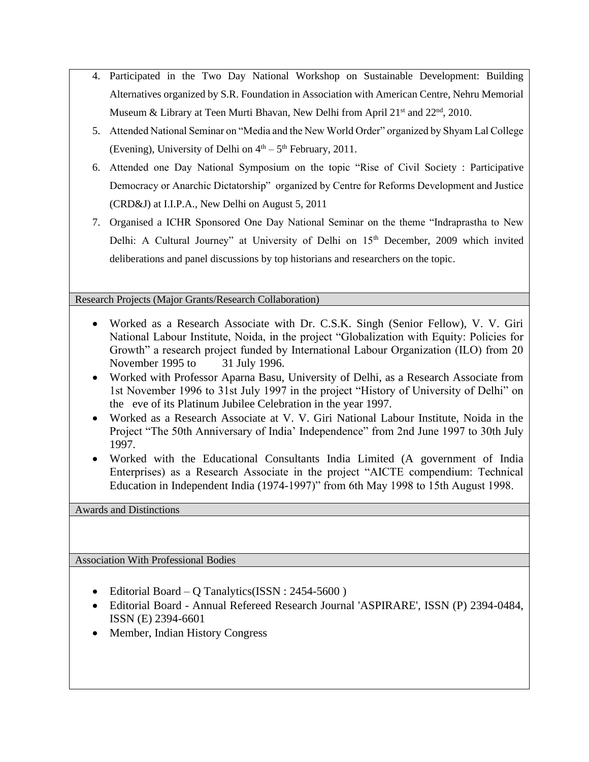- 4. Participated in the Two Day National Workshop on Sustainable Development: Building Alternatives organized by S.R. Foundation in Association with American Centre, Nehru Memorial Museum & Library at Teen Murti Bhavan, New Delhi from April  $21<sup>st</sup>$  and  $22<sup>nd</sup>$ , 2010.
- 5. Attended National Seminar on "Media and the New World Order" organized by Shyam Lal College (Evening), University of Delhi on  $4<sup>th</sup> - 5<sup>th</sup>$  February, 2011.
- 6. Attended one Day National Symposium on the topic "Rise of Civil Society : Participative Democracy or Anarchic Dictatorship" organized by Centre for Reforms Development and Justice (CRD&J) at I.I.P.A., New Delhi on August 5, 2011
- 7. Organised a ICHR Sponsored One Day National Seminar on the theme "Indraprastha to New Delhi: A Cultural Journey" at University of Delhi on 15<sup>th</sup> December, 2009 which invited deliberations and panel discussions by top historians and researchers on the topic.

Research Projects (Major Grants/Research Collaboration)

- Worked as a Research Associate with Dr. C.S.K. Singh (Senior Fellow), V. V. Giri National Labour Institute, Noida, in the project "Globalization with Equity: Policies for Growth" a research project funded by International Labour Organization (ILO) from 20 November 1995 to 31 July 1996.
- Worked with Professor Aparna Basu, University of Delhi, as a Research Associate from 1st November 1996 to 31st July 1997 in the project "History of University of Delhi" on the eve of its Platinum Jubilee Celebration in the year 1997.
- Worked as a Research Associate at V. V. Giri National Labour Institute, Noida in the Project "The 50th Anniversary of India' Independence" from 2nd June 1997 to 30th July 1997.
- Worked with the Educational Consultants India Limited (A government of India Enterprises) as a Research Associate in the project "AICTE compendium: Technical Education in Independent India (1974-1997)" from 6th May 1998 to 15th August 1998.

Awards and Distinctions

Association With Professional Bodies

- Editorial Board Q Tanalytics(ISSN : 2454-5600)
- Editorial Board Annual Refereed Research Journal 'ASPIRARE', ISSN (P) 2394-0484, ISSN (E) 2394-6601
- Member, Indian History Congress